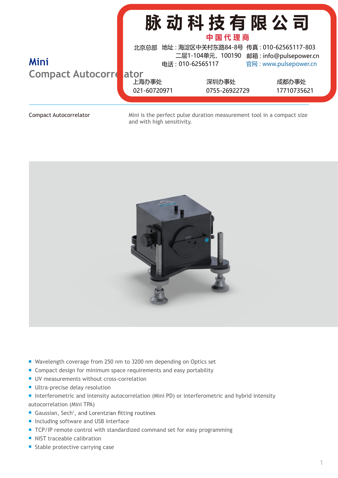|                                         | 脉动科技有限公司<br>中国代理商                     |                                                                                                        |                       |
|-----------------------------------------|---------------------------------------|--------------------------------------------------------------------------------------------------------|-----------------------|
| <b>Mini</b><br><b>Compact Autocorre</b> | 北京总部                                  | 地址: 海淀区中关村东路84-8号 传真: 010-62565117-803<br>二层1-104单元, 100190 邮箱: info@pulsepower.cn<br>电话: 010-62565117 | 官网: www.pulsepower.cn |
|                                         | <b>Lator</b><br>上海办事处<br>021-60720971 | 深圳办事处<br>0755-26922729                                                                                 | 成都办事处<br>17710735621  |

Compact Autocorrelator Mini is the perfect pulse duration measurement tool in a compact size and with high sensitivity.



- Wavelength coverage from 250 nm to 3200 nm depending on Optics set
- Compact design for minimum space requirements and easy portability
- **UV measurements without cross-correlation**
- **Ultra-precise delay resolution**
- Interferometric and intensity autocorrelation (Mini PD) or interferometric and hybrid intensity autocorrelation (Mini TPA)
- Gaussian, Sech<sup>2</sup>, and Lorentzian fitting routines
- Including software and USB interface
- TCP/IP remote control with standardized command set for easy programming
- NIST traceable calibration
- Stable protective carrying case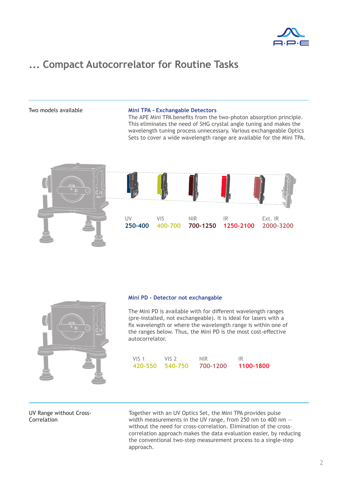

### **... Compact Autocorrelator for Routine Tasks**

#### Two models available **Mini TPA - Exchangable Detectors**

The APE Mini TPA benefits from the two-photon absorption principle. This eliminates the need of SHG crystal angle tuning and makes the wavelength tuning process unnecessary. Various exchangeable Optics Sets to cover a wide wavelength range are available for the Mini TPA.



| ÷ |                                                                    |                                   |
|---|--------------------------------------------------------------------|-----------------------------------|
|   | $\bigoplus_{\bullet}$<br>$\ddot{\circ}$<br>$\bigcirc$<br><b>CO</b> | H<br>$\overline{\mathbb{C}}$<br>П |
|   |                                                                    |                                   |

#### **Mini PD - Detector not exchangable**

The Mini PD is available with for different wavelength ranges (pre-installed, not exchangeable). It is ideal for lasers with a fix wavelength or where the wavelength range is within one of the ranges below. Thus, the Mini PD is the most cost-effective autocorrelator.

| VIS <sub>1</sub> | VIS <sub>2</sub> | <b>NIR</b> | -IR       |
|------------------|------------------|------------|-----------|
| 420-550 540-750  |                  | 700-1200   | 1100-1800 |

### UV Range without Cross-**Correlation**

Together with an UV Optics Set, the Mini TPA provides pulse width measurements in the UV range, from 250 nm to 400 nm without the need for cross-correlation. Elimination of the crosscorrelation approach makes the data evaluation easier, by reducing the conventional two-step measurement process to a single-step approach.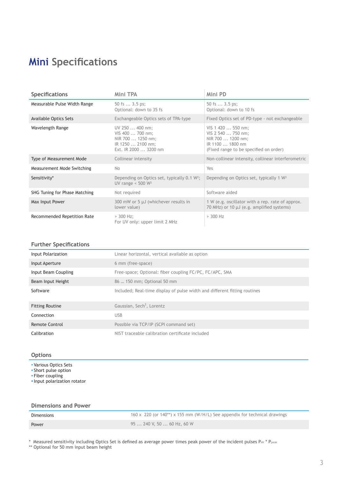# **Mini Specifications**

| <b>Specifications</b>         | Mini TPA                                                                                               | Mini PD                                                                                                                     |
|-------------------------------|--------------------------------------------------------------------------------------------------------|-----------------------------------------------------------------------------------------------------------------------------|
| Measurable Pulse Width Range  | 50 fs $\dots$ 3.5 ps;<br>Optional: down to 35 fs                                                       | 50 fs $\dots$ 3.5 ps;<br>Optional: down to 10 fs                                                                            |
| Available Optics Sets         | Exchangeable Optics sets of TPA-type                                                                   | Fixed Optics set of PD-type - not exchangeable                                                                              |
| Wavelength Range              | UV 250  400 nm;<br>VIS 400  700 nm;<br>NIR 700  1250 nm;<br>IR 1250  2100 nm;<br>Ext. IR 2000  3200 nm | VIS 1 420  550 nm;<br>VIS 2 540  750 nm;<br>NIR 700  1200 nm;<br>IR 1100  1800 nm<br>(Fixed range to be specified on order) |
| Type of Measurement Mode      | Collinear intensity                                                                                    | Non-collinear intensity, collinear interferometric                                                                          |
| Measurement Mode Switching    | No.                                                                                                    | Yes                                                                                                                         |
| Sensitivity*                  | Depending on Optics set, typically $0.1 W^2$ ;<br>UV range $<$ 500 W <sup>2</sup>                      | Depending on Optics set, typically 1 W <sup>2</sup>                                                                         |
| SHG Tuning for Phase Matching | Not required                                                                                           | Software aided                                                                                                              |
| Max Input Power               | 300 mW or 5 µJ (whichever results in<br>lower value)                                                   | 1 W (e.g. oscillator with a rep. rate of approx.<br>70 MHz) or 10 µJ (e.g. amplified systems)                               |
| Recommended Repetition Rate   | $> 300$ Hz;<br>For UV only: upper limit 2 MHz                                                          | $>$ 300 Hz                                                                                                                  |

### **Further Specifications**

| Input Polarization     | Linear horizontal, vertical available as option                           |
|------------------------|---------------------------------------------------------------------------|
| Input Aperture         | 6 mm (free-space)                                                         |
| Input Beam Coupling    | Free-space; Optional: fiber coupling FC/PC, FC/APC, SMA                   |
| Beam Input Height      | 86  150 mm; Optional 50 mm                                                |
| Software               | Included; Real-time display of pulse width and different fitting routines |
| <b>Fitting Routine</b> | Gaussian, Sech <sup>2</sup> , Lorentz                                     |
| Connection             | <b>USB</b>                                                                |
| Remote Control         | Possible via TCP/IP (SCPI command set)                                    |
| Calibration            | NIST traceable calibration certificate included                           |

### **Options**

- Various Optics Sets
- Short pulse option
- Fiber coupling

▪Input polarization rotator

 $*$  Measured sensitivity including Optics Set is defined as average power times peak power of the incident pulses PAV  $*$  P<sub>peak</sub>

\*\* Optional for 50 mm input beam height